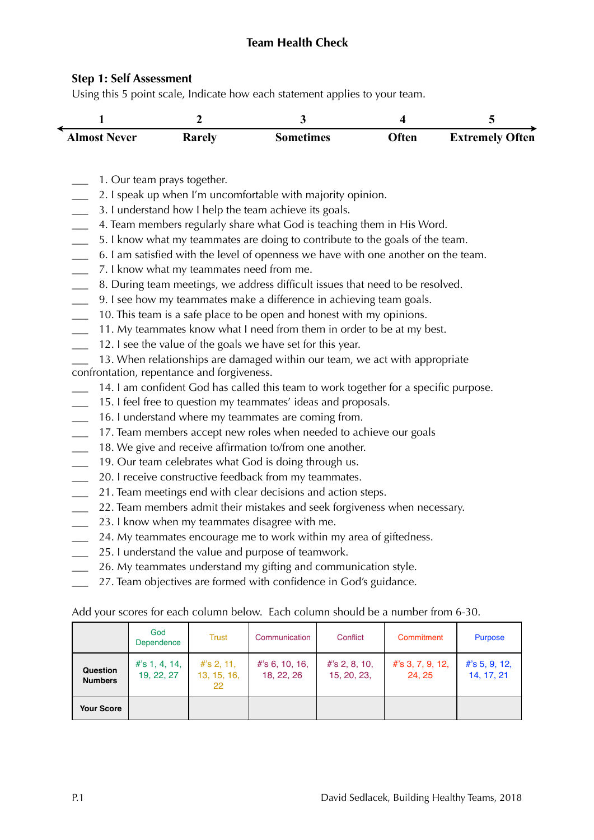## **Team Health Check**

### **Step 1: Self Assessment**

Using this 5 point scale, Indicate how each statement applies to your team.

| <b>Almost Never</b> | <b>A</b> xarely | <b>Sometimes</b> | )ften | <b>Extremely Often</b> |
|---------------------|-----------------|------------------|-------|------------------------|

- \_\_\_ 1. Our team prays together.
- \_\_\_ 2. I speak up when I'm uncomfortable with majority opinion.
- \_\_\_ 3. I understand how I help the team achieve its goals.
- \_\_\_ 4. Team members regularly share what God is teaching them in His Word.
- \_\_\_ 5. I know what my teammates are doing to contribute to the goals of the team.
- \_\_\_ 6. I am satisfied with the level of openness we have with one another on the team.
- \_\_\_ 7. I know what my teammates need from me.
- \_\_\_ 8. During team meetings, we address difficult issues that need to be resolved.
- \_\_\_ 9. I see how my teammates make a difference in achieving team goals.
- \_\_\_ 10. This team is a safe place to be open and honest with my opinions.
- 11. My teammates know what I need from them in order to be at my best.
- 12. I see the value of the goals we have set for this year.

13. When relationships are damaged within our team, we act with appropriate confrontation, repentance and forgiveness.

- 14. I am confident God has called this team to work together for a specific purpose.
- \_\_\_ 15. I feel free to question my teammates' ideas and proposals.
- \_\_\_ 16. I understand where my teammates are coming from.
- \_\_\_ 17. Team members accept new roles when needed to achieve our goals
- 18. We give and receive affirmation to/from one another.
- \_\_\_ 19. Our team celebrates what God is doing through us.
- 20. I receive constructive feedback from my teammates.
- \_\_\_ 21. Team meetings end with clear decisions and action steps.
- \_\_\_ 22. Team members admit their mistakes and seek forgiveness when necessary.
- \_\_\_ 23. I know when my teammates disagree with me.
- 24. My teammates encourage me to work within my area of giftedness.
- \_\_\_ 25. I understand the value and purpose of teamwork.
- \_\_\_ 26. My teammates understand my gifting and communication style.
- 27. Team objectives are formed with confidence in God's guidance.

Add your scores for each column below. Each column should be a number from 6-30.

|                            | God<br>Dependence              | <b>Trust</b>                       | Communication                   | Conflict                        | Commitment                   | <b>Purpose</b>                 |
|----------------------------|--------------------------------|------------------------------------|---------------------------------|---------------------------------|------------------------------|--------------------------------|
| Question<br><b>Numbers</b> | $#$ 's 1, 4, 14,<br>19, 22, 27 | $#$ 's 2, 11,<br>13, 15, 16,<br>22 | $#$ 's 6, 10, 16,<br>18, 22, 26 | $#$ 's 2, 8, 10,<br>15, 20, 23, | $#$ 's 3, 7, 9, 12,<br>24.25 | $#$ 's 5, 9, 12,<br>14, 17, 21 |
| <b>Your Score</b>          |                                |                                    |                                 |                                 |                              |                                |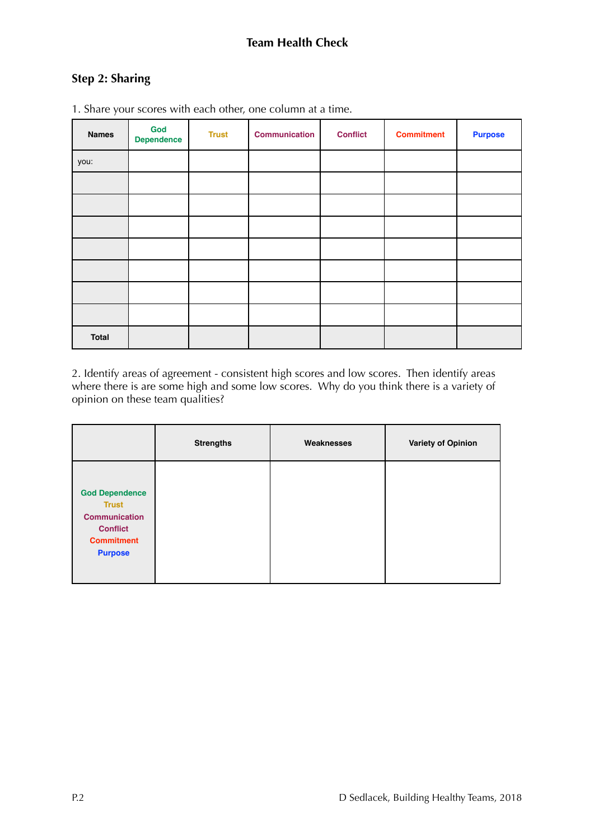# **Step 2: Sharing**

| <b>Names</b> | God<br><b>Dependence</b> | <b>Trust</b> | <b>Communication</b> | <b>Conflict</b> | <b>Commitment</b> | <b>Purpose</b> |
|--------------|--------------------------|--------------|----------------------|-----------------|-------------------|----------------|
| you:         |                          |              |                      |                 |                   |                |
|              |                          |              |                      |                 |                   |                |
|              |                          |              |                      |                 |                   |                |
|              |                          |              |                      |                 |                   |                |
|              |                          |              |                      |                 |                   |                |
|              |                          |              |                      |                 |                   |                |
|              |                          |              |                      |                 |                   |                |
|              |                          |              |                      |                 |                   |                |
| <b>Total</b> |                          |              |                      |                 |                   |                |

1. Share your scores with each other, one column at a time.

2. Identify areas of agreement - consistent high scores and low scores. Then identify areas where there is are some high and some low scores. Why do you think there is a variety of opinion on these team qualities?

|                                                                                                                         | <b>Strengths</b> | Weaknesses | <b>Variety of Opinion</b> |
|-------------------------------------------------------------------------------------------------------------------------|------------------|------------|---------------------------|
| <b>God Dependence</b><br><b>Trust</b><br><b>Communication</b><br><b>Conflict</b><br><b>Commitment</b><br><b>Purpose</b> |                  |            |                           |